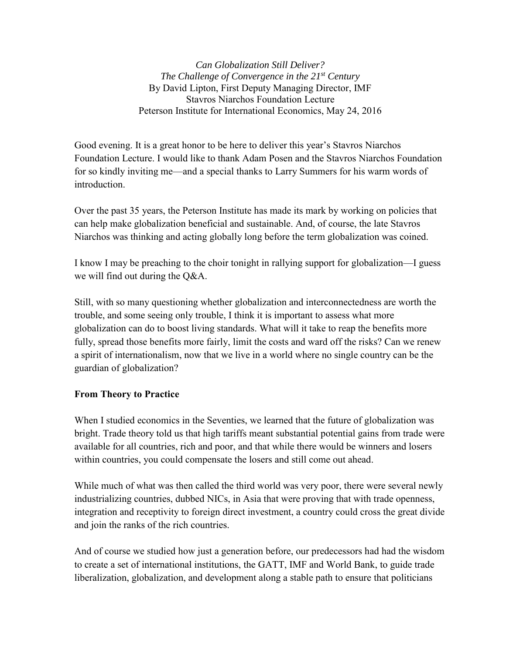*Can Globalization Still Deliver? The Challenge of Convergence in the 21st Century* By David Lipton, First Deputy Managing Director, IMF Stavros Niarchos Foundation Lecture Peterson Institute for International Economics, May 24, 2016

Good evening. It is a great honor to be here to deliver this year's Stavros Niarchos Foundation Lecture. I would like to thank Adam Posen and the Stavros Niarchos Foundation for so kindly inviting me—and a special thanks to Larry Summers for his warm words of introduction.

Over the past 35 years, the Peterson Institute has made its mark by working on policies that can help make globalization beneficial and sustainable. And, of course, the late Stavros Niarchos was thinking and acting globally long before the term globalization was coined.

I know I may be preaching to the choir tonight in rallying support for globalization—I guess we will find out during the Q&A.

Still, with so many questioning whether globalization and interconnectedness are worth the trouble, and some seeing only trouble, I think it is important to assess what more globalization can do to boost living standards. What will it take to reap the benefits more fully, spread those benefits more fairly, limit the costs and ward off the risks? Can we renew a spirit of internationalism, now that we live in a world where no single country can be the guardian of globalization?

### **From Theory to Practice**

When I studied economics in the Seventies, we learned that the future of globalization was bright. Trade theory told us that high tariffs meant substantial potential gains from trade were available for all countries, rich and poor, and that while there would be winners and losers within countries, you could compensate the losers and still come out ahead.

While much of what was then called the third world was very poor, there were several newly industrializing countries, dubbed NICs, in Asia that were proving that with trade openness, integration and receptivity to foreign direct investment, a country could cross the great divide and join the ranks of the rich countries.

And of course we studied how just a generation before, our predecessors had had the wisdom to create a set of international institutions, the GATT, IMF and World Bank, to guide trade liberalization, globalization, and development along a stable path to ensure that politicians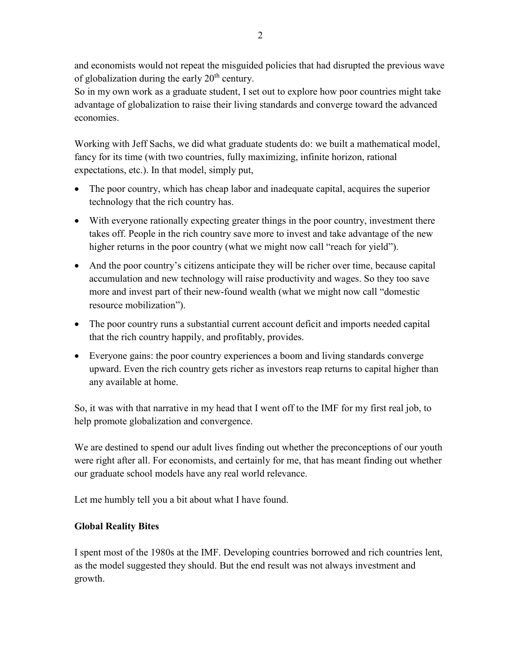and economists would not repeat the misguided policies that had disrupted the previous wave of globalization during the early  $20<sup>th</sup>$  century.

So in my own work as a graduate student, I set out to explore how poor countries might take advantage of globalization to raise their living standards and converge toward the advanced economies.

Working with Jeff Sachs, we did what graduate students do: we built a mathematical model, fancy for its time (with two countries, fully maximizing, infinite horizon, rational expectations, etc.). In that model, simply put,

- The poor country, which has cheap labor and inadequate capital, acquires the superior technology that the rich country has.
- With everyone rationally expecting greater things in the poor country, investment there takes off. People in the rich country save more to invest and take advantage of the new higher returns in the poor country (what we might now call "reach for yield").
- And the poor country's citizens anticipate they will be richer over time, because capital accumulation and new technology will raise productivity and wages. So they too save more and invest part of their new-found wealth (what we might now call "domestic resource mobilization").
- The poor country runs a substantial current account deficit and imports needed capital that the rich country happily, and profitably, provides.
- Everyone gains: the poor country experiences a boom and living standards converge upward. Even the rich country gets richer as investors reap returns to capital higher than any available at home.

So, it was with that narrative in my head that I went off to the IMF for my first real job, to help promote globalization and convergence.

We are destined to spend our adult lives finding out whether the preconceptions of our youth were right after all. For economists, and certainly for me, that has meant finding out whether our graduate school models have any real world relevance.

Let me humbly tell you a bit about what I have found.

# **Global Reality Bites**

I spent most of the 1980s at the IMF. Developing countries borrowed and rich countries lent, as the model suggested they should. But the end result was not always investment and growth.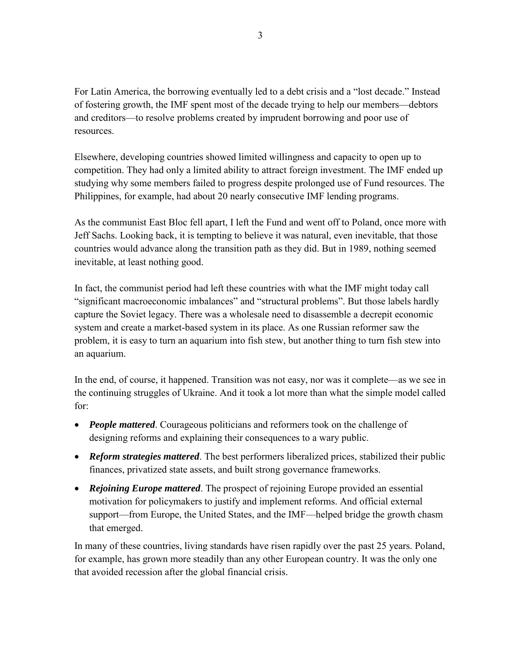For Latin America, the borrowing eventually led to a debt crisis and a "lost decade." Instead of fostering growth, the IMF spent most of the decade trying to help our members—debtors and creditors—to resolve problems created by imprudent borrowing and poor use of resources.

Elsewhere, developing countries showed limited willingness and capacity to open up to competition. They had only a limited ability to attract foreign investment. The IMF ended up studying why some members failed to progress despite prolonged use of Fund resources. The Philippines, for example, had about 20 nearly consecutive IMF lending programs.

As the communist East Bloc fell apart, I left the Fund and went off to Poland, once more with Jeff Sachs. Looking back, it is tempting to believe it was natural, even inevitable, that those countries would advance along the transition path as they did. But in 1989, nothing seemed inevitable, at least nothing good.

In fact, the communist period had left these countries with what the IMF might today call "significant macroeconomic imbalances" and "structural problems". But those labels hardly capture the Soviet legacy. There was a wholesale need to disassemble a decrepit economic system and create a market-based system in its place. As one Russian reformer saw the problem, it is easy to turn an aquarium into fish stew, but another thing to turn fish stew into an aquarium.

In the end, of course, it happened. Transition was not easy, nor was it complete—as we see in the continuing struggles of Ukraine. And it took a lot more than what the simple model called for:

- *People mattered.* Courageous politicians and reformers took on the challenge of designing reforms and explaining their consequences to a wary public.
- *Reform strategies mattered*. The best performers liberalized prices, stabilized their public finances, privatized state assets, and built strong governance frameworks.
- *Rejoining Europe mattered*. The prospect of rejoining Europe provided an essential motivation for policymakers to justify and implement reforms. And official external support—from Europe, the United States, and the IMF—helped bridge the growth chasm that emerged.

In many of these countries, living standards have risen rapidly over the past 25 years. Poland, for example, has grown more steadily than any other European country. It was the only one that avoided recession after the global financial crisis.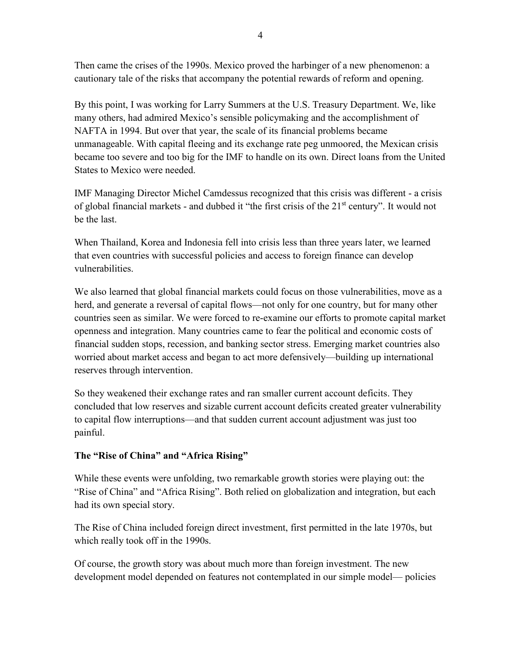Then came the crises of the 1990s. Mexico proved the harbinger of a new phenomenon: a cautionary tale of the risks that accompany the potential rewards of reform and opening.

By this point, I was working for Larry Summers at the U.S. Treasury Department. We, like many others, had admired Mexico's sensible policymaking and the accomplishment of NAFTA in 1994. But over that year, the scale of its financial problems became unmanageable. With capital fleeing and its exchange rate peg unmoored, the Mexican crisis became too severe and too big for the IMF to handle on its own. Direct loans from the United States to Mexico were needed.

IMF Managing Director Michel Camdessus recognized that this crisis was different - a crisis of global financial markets - and dubbed it "the first crisis of the 21<sup>st</sup> century". It would not be the last.

When Thailand, Korea and Indonesia fell into crisis less than three years later, we learned that even countries with successful policies and access to foreign finance can develop vulnerabilities.

We also learned that global financial markets could focus on those vulnerabilities, move as a herd, and generate a reversal of capital flows—not only for one country, but for many other countries seen as similar. We were forced to re-examine our efforts to promote capital market openness and integration. Many countries came to fear the political and economic costs of financial sudden stops, recession, and banking sector stress. Emerging market countries also worried about market access and began to act more defensively—building up international reserves through intervention.

So they weakened their exchange rates and ran smaller current account deficits. They concluded that low reserves and sizable current account deficits created greater vulnerability to capital flow interruptions—and that sudden current account adjustment was just too painful.

# **The "Rise of China" and "Africa Rising"**

While these events were unfolding, two remarkable growth stories were playing out: the "Rise of China" and "Africa Rising". Both relied on globalization and integration, but each had its own special story.

The Rise of China included foreign direct investment, first permitted in the late 1970s, but which really took off in the 1990s.

Of course, the growth story was about much more than foreign investment. The new development model depended on features not contemplated in our simple model— policies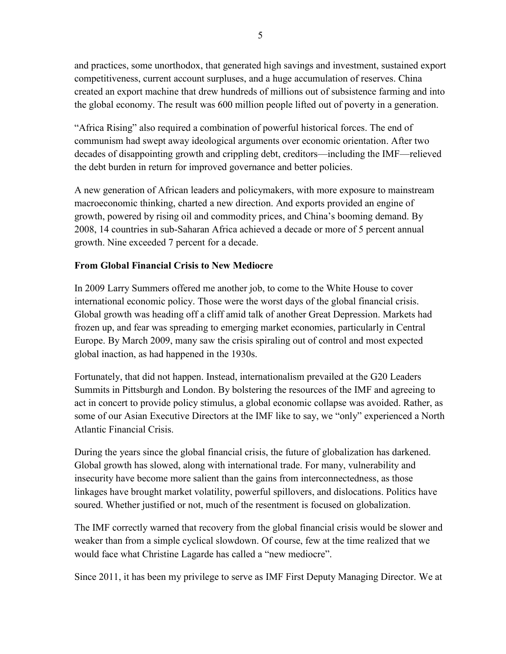and practices, some unorthodox, that generated high savings and investment, sustained export competitiveness, current account surpluses, and a huge accumulation of reserves. China created an export machine that drew hundreds of millions out of subsistence farming and into the global economy. The result was 600 million people lifted out of poverty in a generation.

"Africa Rising" also required a combination of powerful historical forces. The end of communism had swept away ideological arguments over economic orientation. After two decades of disappointing growth and crippling debt, creditors—including the IMF—relieved the debt burden in return for improved governance and better policies.

A new generation of African leaders and policymakers, with more exposure to mainstream macroeconomic thinking, charted a new direction. And exports provided an engine of growth, powered by rising oil and commodity prices, and China's booming demand. By 2008, 14 countries in sub-Saharan Africa achieved a decade or more of 5 percent annual growth. Nine exceeded 7 percent for a decade.

# **From Global Financial Crisis to New Mediocre**

In 2009 Larry Summers offered me another job, to come to the White House to cover international economic policy. Those were the worst days of the global financial crisis. Global growth was heading off a cliff amid talk of another Great Depression. Markets had frozen up, and fear was spreading to emerging market economies, particularly in Central Europe. By March 2009, many saw the crisis spiraling out of control and most expected global inaction, as had happened in the 1930s.

Fortunately, that did not happen. Instead, internationalism prevailed at the G20 Leaders Summits in Pittsburgh and London. By bolstering the resources of the IMF and agreeing to act in concert to provide policy stimulus, a global economic collapse was avoided. Rather, as some of our Asian Executive Directors at the IMF like to say, we "only" experienced a North Atlantic Financial Crisis.

During the years since the global financial crisis, the future of globalization has darkened. Global growth has slowed, along with international trade. For many, vulnerability and insecurity have become more salient than the gains from interconnectedness, as those linkages have brought market volatility, powerful spillovers, and dislocations. Politics have soured. Whether justified or not, much of the resentment is focused on globalization.

The IMF correctly warned that recovery from the global financial crisis would be slower and weaker than from a simple cyclical slowdown. Of course, few at the time realized that we would face what Christine Lagarde has called a "new mediocre".

Since 2011, it has been my privilege to serve as IMF First Deputy Managing Director. We at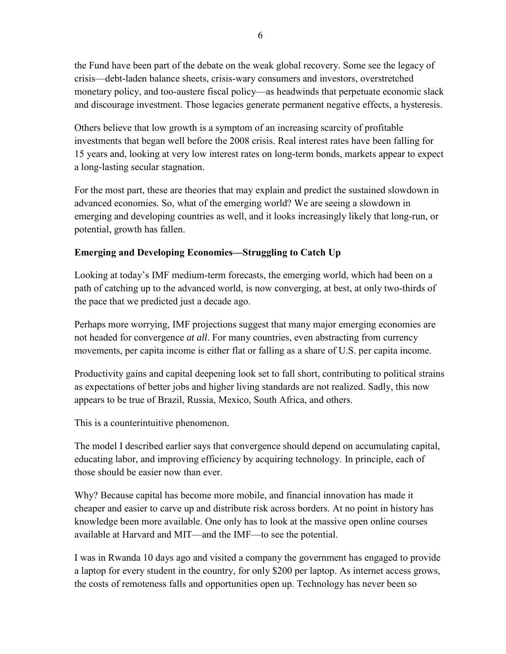the Fund have been part of the debate on the weak global recovery. Some see the legacy of crisis—debt-laden balance sheets, crisis-wary consumers and investors, overstretched monetary policy, and too-austere fiscal policy—as headwinds that perpetuate economic slack and discourage investment. Those legacies generate permanent negative effects, a hysteresis.

Others believe that low growth is a symptom of an increasing scarcity of profitable investments that began well before the 2008 crisis. Real interest rates have been falling for 15 years and, looking at very low interest rates on long-term bonds, markets appear to expect a long-lasting secular stagnation.

For the most part, these are theories that may explain and predict the sustained slowdown in advanced economies. So, what of the emerging world? We are seeing a slowdown in emerging and developing countries as well, and it looks increasingly likely that long-run, or potential, growth has fallen.

# **Emerging and Developing Economies—Struggling to Catch Up**

Looking at today's IMF medium-term forecasts, the emerging world, which had been on a path of catching up to the advanced world, is now converging, at best, at only two-thirds of the pace that we predicted just a decade ago.

Perhaps more worrying, IMF projections suggest that many major emerging economies are not headed for convergence *at all*. For many countries, even abstracting from currency movements, per capita income is either flat or falling as a share of U.S. per capita income.

Productivity gains and capital deepening look set to fall short, contributing to political strains as expectations of better jobs and higher living standards are not realized. Sadly, this now appears to be true of Brazil, Russia, Mexico, South Africa, and others.

This is a counterintuitive phenomenon.

The model I described earlier says that convergence should depend on accumulating capital, educating labor, and improving efficiency by acquiring technology. In principle, each of those should be easier now than ever.

Why? Because capital has become more mobile, and financial innovation has made it cheaper and easier to carve up and distribute risk across borders. At no point in history has knowledge been more available. One only has to look at the massive open online courses available at Harvard and MIT—and the IMF—to see the potential.

I was in Rwanda 10 days ago and visited a company the government has engaged to provide a laptop for every student in the country, for only \$200 per laptop. As internet access grows, the costs of remoteness falls and opportunities open up. Technology has never been so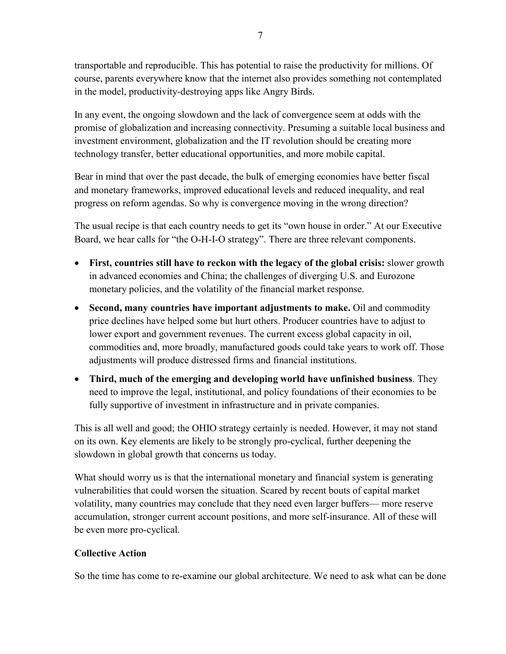transportable and reproducible. This has potential to raise the productivity for millions. Of course, parents everywhere know that the internet also provides something not contemplated in the model, productivity-destroying apps like Angry Birds.

In any event, the ongoing slowdown and the lack of convergence seem at odds with the promise of globalization and increasing connectivity. Presuming a suitable local business and investment environment, globalization and the IT revolution should be creating more technology transfer, better educational opportunities, and more mobile capital.

Bear in mind that over the past decade, the bulk of emerging economies have better fiscal and monetary frameworks, improved educational levels and reduced inequality, and real progress on reform agendas. So why is convergence moving in the wrong direction?

The usual recipe is that each country needs to get its "own house in order." At our Executive Board, we hear calls for "the O-H-I-O strategy". There are three relevant components.

- **First, countries still have to reckon with the legacy of the global crisis:** slower growth in advanced economies and China; the challenges of diverging U.S. and Eurozone monetary policies, and the volatility of the financial market response.
- **Second, many countries have important adjustments to make.** Oil and commodity price declines have helped some but hurt others. Producer countries have to adjust to lower export and government revenues. The current excess global capacity in oil, commodities and, more broadly, manufactured goods could take years to work off. Those adjustments will produce distressed firms and financial institutions.
- **Third, much of the emerging and developing world have unfinished business**. They need to improve the legal, institutional, and policy foundations of their economies to be fully supportive of investment in infrastructure and in private companies.

This is all well and good; the OHIO strategy certainly is needed. However, it may not stand on its own. Key elements are likely to be strongly pro-cyclical, further deepening the slowdown in global growth that concerns us today.

What should worry us is that the international monetary and financial system is generating vulnerabilities that could worsen the situation. Scared by recent bouts of capital market volatility, many countries may conclude that they need even larger buffers— more reserve accumulation, stronger current account positions, and more self-insurance. All of these will be even more pro-cyclical.

### **Collective Action**

So the time has come to re-examine our global architecture. We need to ask what can be done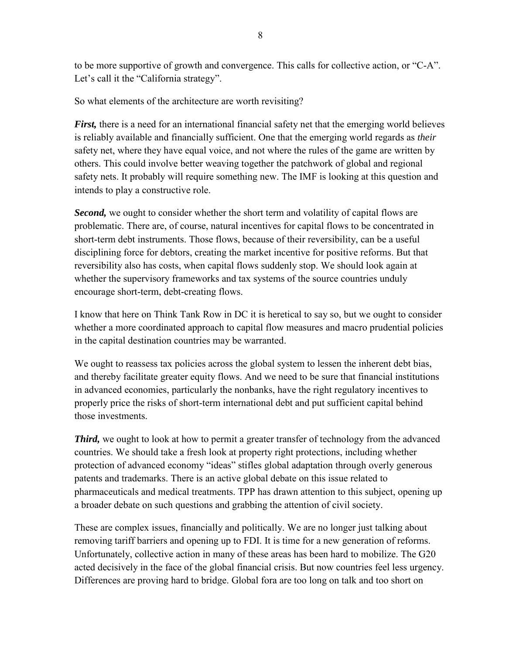to be more supportive of growth and convergence. This calls for collective action, or "C-A". Let's call it the "California strategy".

So what elements of the architecture are worth revisiting?

*First*, there is a need for an international financial safety net that the emerging world believes is reliably available and financially sufficient. One that the emerging world regards as *their* safety net, where they have equal voice, and not where the rules of the game are written by others. This could involve better weaving together the patchwork of global and regional safety nets. It probably will require something new. The IMF is looking at this question and intends to play a constructive role.

*Second,* we ought to consider whether the short term and volatility of capital flows are problematic. There are, of course, natural incentives for capital flows to be concentrated in short-term debt instruments. Those flows, because of their reversibility, can be a useful disciplining force for debtors, creating the market incentive for positive reforms. But that reversibility also has costs, when capital flows suddenly stop. We should look again at whether the supervisory frameworks and tax systems of the source countries unduly encourage short-term, debt-creating flows.

I know that here on Think Tank Row in DC it is heretical to say so, but we ought to consider whether a more coordinated approach to capital flow measures and macro prudential policies in the capital destination countries may be warranted.

We ought to reassess tax policies across the global system to lessen the inherent debt bias, and thereby facilitate greater equity flows. And we need to be sure that financial institutions in advanced economies, particularly the nonbanks, have the right regulatory incentives to properly price the risks of short-term international debt and put sufficient capital behind those investments.

**Third,** we ought to look at how to permit a greater transfer of technology from the advanced countries. We should take a fresh look at property right protections, including whether protection of advanced economy "ideas" stifles global adaptation through overly generous patents and trademarks. There is an active global debate on this issue related to pharmaceuticals and medical treatments. TPP has drawn attention to this subject, opening up a broader debate on such questions and grabbing the attention of civil society.

These are complex issues, financially and politically. We are no longer just talking about removing tariff barriers and opening up to FDI. It is time for a new generation of reforms. Unfortunately, collective action in many of these areas has been hard to mobilize. The G20 acted decisively in the face of the global financial crisis. But now countries feel less urgency. Differences are proving hard to bridge. Global fora are too long on talk and too short on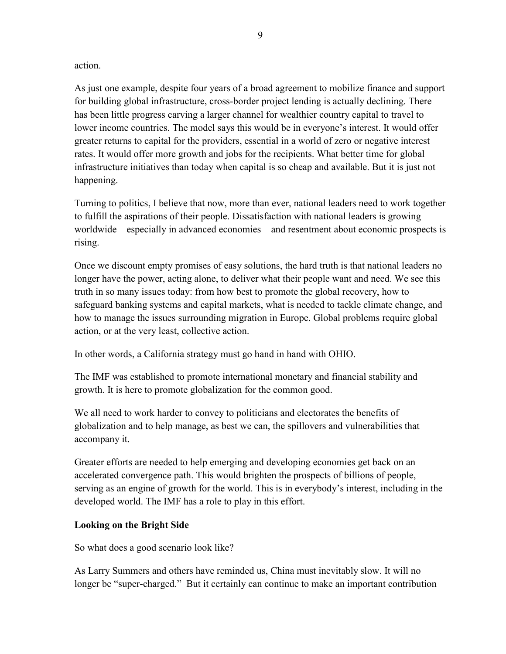#### action.

As just one example, despite four years of a broad agreement to mobilize finance and support for building global infrastructure, cross-border project lending is actually declining. There has been little progress carving a larger channel for wealthier country capital to travel to lower income countries. The model says this would be in everyone's interest. It would offer greater returns to capital for the providers, essential in a world of zero or negative interest rates. It would offer more growth and jobs for the recipients. What better time for global infrastructure initiatives than today when capital is so cheap and available. But it is just not happening.

Turning to politics, I believe that now, more than ever, national leaders need to work together to fulfill the aspirations of their people. Dissatisfaction with national leaders is growing worldwide—especially in advanced economies—and resentment about economic prospects is rising.

Once we discount empty promises of easy solutions, the hard truth is that national leaders no longer have the power, acting alone, to deliver what their people want and need. We see this truth in so many issues today: from how best to promote the global recovery, how to safeguard banking systems and capital markets, what is needed to tackle climate change, and how to manage the issues surrounding migration in Europe. Global problems require global action, or at the very least, collective action.

In other words, a California strategy must go hand in hand with OHIO.

The IMF was established to promote international monetary and financial stability and growth. It is here to promote globalization for the common good.

We all need to work harder to convey to politicians and electorates the benefits of globalization and to help manage, as best we can, the spillovers and vulnerabilities that accompany it.

Greater efforts are needed to help emerging and developing economies get back on an accelerated convergence path. This would brighten the prospects of billions of people, serving as an engine of growth for the world. This is in everybody's interest, including in the developed world. The IMF has a role to play in this effort.

### **Looking on the Bright Side**

So what does a good scenario look like?

As Larry Summers and others have reminded us, China must inevitably slow. It will no longer be "super-charged." But it certainly can continue to make an important contribution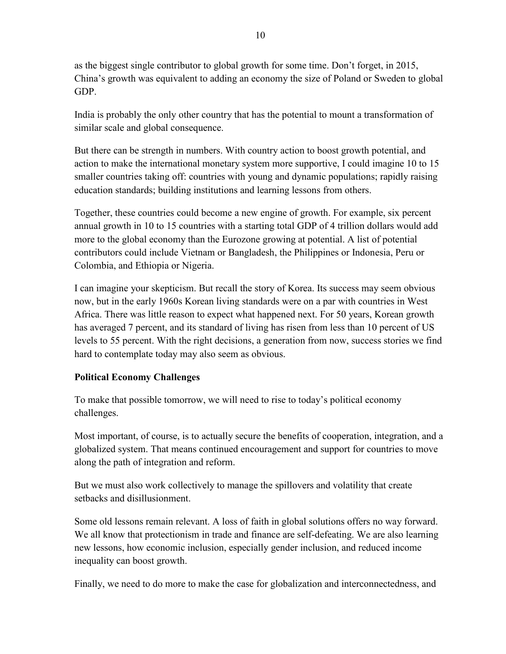as the biggest single contributor to global growth for some time. Don't forget, in 2015, China's growth was equivalent to adding an economy the size of Poland or Sweden to global GDP.

India is probably the only other country that has the potential to mount a transformation of similar scale and global consequence.

But there can be strength in numbers. With country action to boost growth potential, and action to make the international monetary system more supportive, I could imagine 10 to 15 smaller countries taking off: countries with young and dynamic populations; rapidly raising education standards; building institutions and learning lessons from others.

Together, these countries could become a new engine of growth. For example, six percent annual growth in 10 to 15 countries with a starting total GDP of 4 trillion dollars would add more to the global economy than the Eurozone growing at potential. A list of potential contributors could include Vietnam or Bangladesh, the Philippines or Indonesia, Peru or Colombia, and Ethiopia or Nigeria.

I can imagine your skepticism. But recall the story of Korea. Its success may seem obvious now, but in the early 1960s Korean living standards were on a par with countries in West Africa. There was little reason to expect what happened next. For 50 years, Korean growth has averaged 7 percent, and its standard of living has risen from less than 10 percent of US levels to 55 percent. With the right decisions, a generation from now, success stories we find hard to contemplate today may also seem as obvious.

# **Political Economy Challenges**

To make that possible tomorrow, we will need to rise to today's political economy challenges.

Most important, of course, is to actually secure the benefits of cooperation, integration, and a globalized system. That means continued encouragement and support for countries to move along the path of integration and reform.

But we must also work collectively to manage the spillovers and volatility that create setbacks and disillusionment.

Some old lessons remain relevant. A loss of faith in global solutions offers no way forward. We all know that protectionism in trade and finance are self-defeating. We are also learning new lessons, how economic inclusion, especially gender inclusion, and reduced income inequality can boost growth.

Finally, we need to do more to make the case for globalization and interconnectedness, and